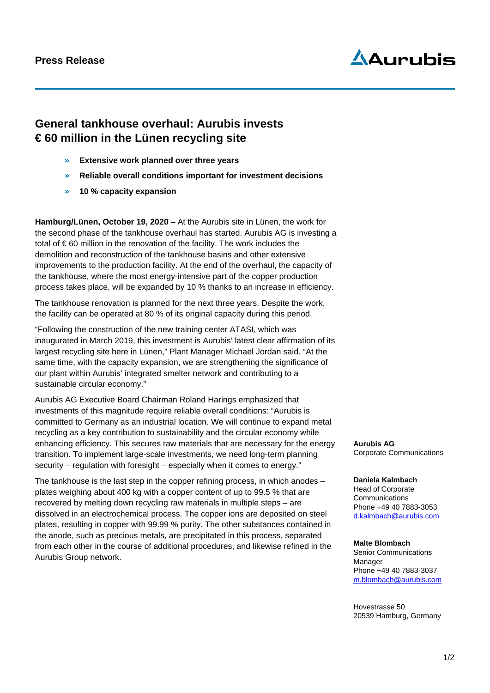### **Press Release**

# $\Delta$ Aurubis

## **General tankhouse overhaul: Aurubis invests € 60 million in the Lünen recycling site**

- » **Extensive work planned over three years**
- » **Reliable overall conditions important for investment decisions**
- » **10 % capacity expansion**

**Hamburg/Lünen, October 19, 2020** – At the Aurubis site in Lünen, the work for the second phase of the tankhouse overhaul has started. Aurubis AG is investing a total of € 60 million in the renovation of the facility. The work includes the demolition and reconstruction of the tankhouse basins and other extensive improvements to the production facility. At the end of the overhaul, the capacity of the tankhouse, where the most energy-intensive part of the copper production process takes place, will be expanded by 10 % thanks to an increase in efficiency.

The tankhouse renovation is planned for the next three years. Despite the work, the facility can be operated at 80 % of its original capacity during this period.

"Following the construction of the new training center ATASI, which was inaugurated in March 2019, this investment is Aurubis' latest clear affirmation of its largest recycling site here in Lünen," Plant Manager Michael Jordan said. "At the same time, with the capacity expansion, we are strengthening the significance of our plant within Aurubis' integrated smelter network and contributing to a sustainable circular economy."

Aurubis AG Executive Board Chairman Roland Harings emphasized that investments of this magnitude require reliable overall conditions: "Aurubis is committed to Germany as an industrial location. We will continue to expand metal recycling as a key contribution to sustainability and the circular economy while enhancing efficiency. This secures raw materials that are necessary for the energy transition. To implement large-scale investments, we need long-term planning security – regulation with foresight – especially when it comes to energy."

The tankhouse is the last step in the copper refining process, in which anodes – plates weighing about 400 kg with a copper content of up to 99.5 % that are recovered by melting down recycling raw materials in multiple steps – are dissolved in an electrochemical process. The copper ions are deposited on steel plates, resulting in copper with 99.99 % purity. The other substances contained in the anode, such as precious metals, are precipitated in this process, separated from each other in the course of additional procedures, and likewise refined in the Aurubis Group network.

**Aurubis AG** Corporate Communications

**Daniela Kalmbach** Head of Corporate Communications Phone +49 40 7883-3053 d.kalmbach@aurubis.com

#### **Malte Blombach**

Senior Communications Manager Phone +49 40 7883-3037 [m.blombach@aurubis.com](mailto:m.blombach@aurubis.com)

Hovestrasse 50 20539 Hamburg, Germany